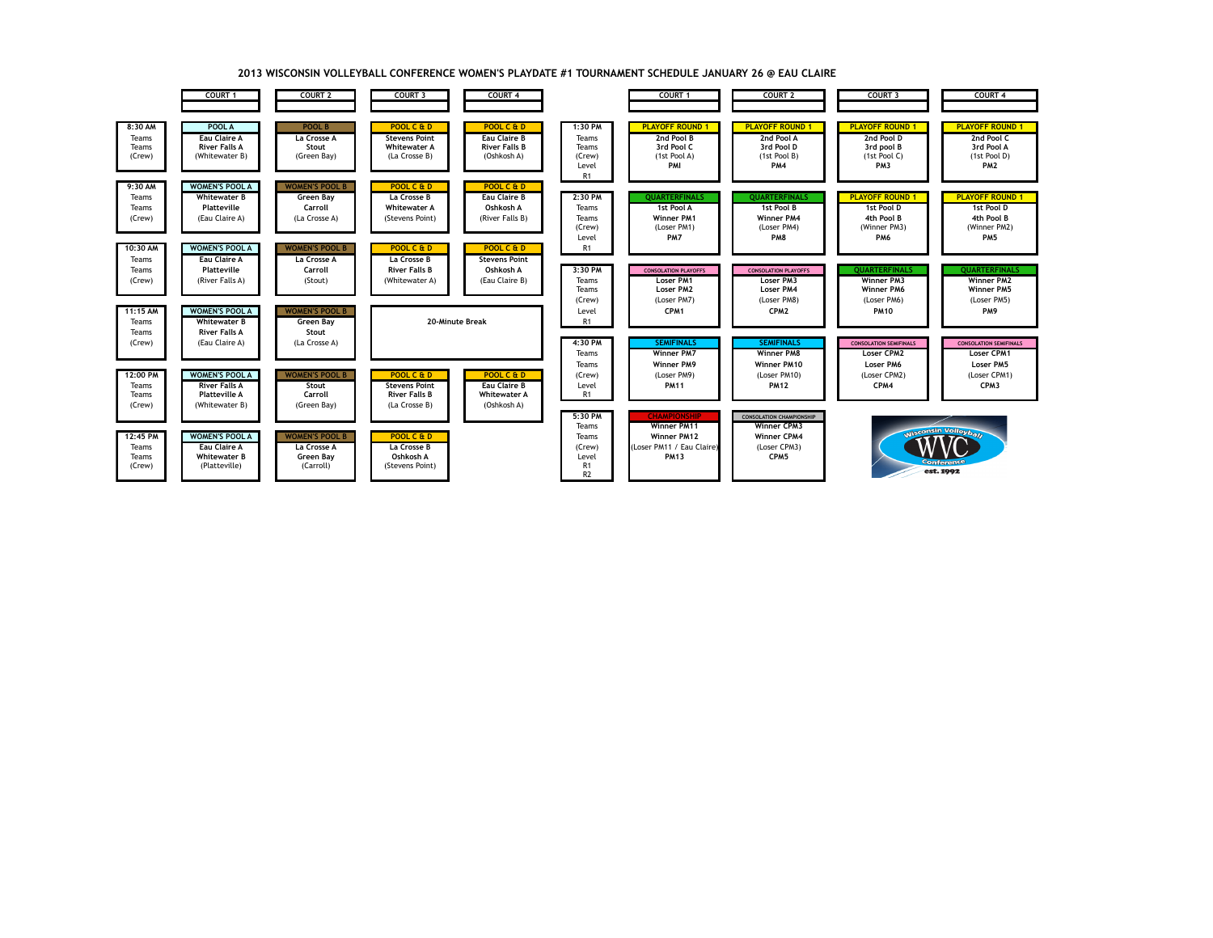

## **2013 WISCONSIN VOLLEYBALL CONFERENCE WOMEN'S PLAYDATE #1 TOURNAMENT SCHEDULE JANUARY 26 @ EAU CLAIRE**